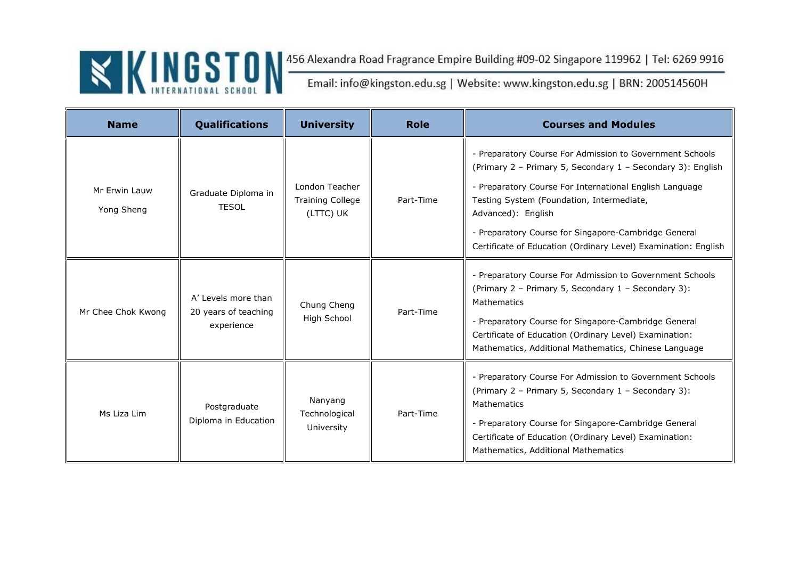| <b>Name</b>                 | Qualifications                                            | <b>University</b>                                      | <b>Role</b> | <b>Courses and Modules</b>                                                                                                                                                                                                                                                                                                                                                      |
|-----------------------------|-----------------------------------------------------------|--------------------------------------------------------|-------------|---------------------------------------------------------------------------------------------------------------------------------------------------------------------------------------------------------------------------------------------------------------------------------------------------------------------------------------------------------------------------------|
| Mr Erwin Lauw<br>Yong Sheng | Graduate Diploma in<br><b>TESOL</b>                       | London Teacher<br><b>Training College</b><br>(LTTC) UK | Part-Time   | - Preparatory Course For Admission to Government Schools<br>(Primary 2 - Primary 5, Secondary 1 - Secondary 3): English<br>- Preparatory Course For International English Language<br>Testing System (Foundation, Intermediate,<br>Advanced): English<br>- Preparatory Course for Singapore-Cambridge General<br>Certificate of Education (Ordinary Level) Examination: English |
| Mr Chee Chok Kwong          | A' Levels more than<br>20 years of teaching<br>experience | Chung Cheng<br>High School                             | Part-Time   | - Preparatory Course For Admission to Government Schools<br>(Primary 2 – Primary 5, Secondary 1 – Secondary 3):<br>Mathematics<br>- Preparatory Course for Singapore-Cambridge General<br>Certificate of Education (Ordinary Level) Examination:<br>Mathematics, Additional Mathematics, Chinese Language                                                                       |
| Ms Liza Lim                 | Postgraduate<br>Diploma in Education                      | Nanyang<br>Technological<br>University                 | Part-Time   | - Preparatory Course For Admission to Government Schools<br>(Primary 2 - Primary 5, Secondary 1 - Secondary 3):<br>Mathematics<br>- Preparatory Course for Singapore-Cambridge General<br>Certificate of Education (Ordinary Level) Examination:<br>Mathematics, Additional Mathematics                                                                                         |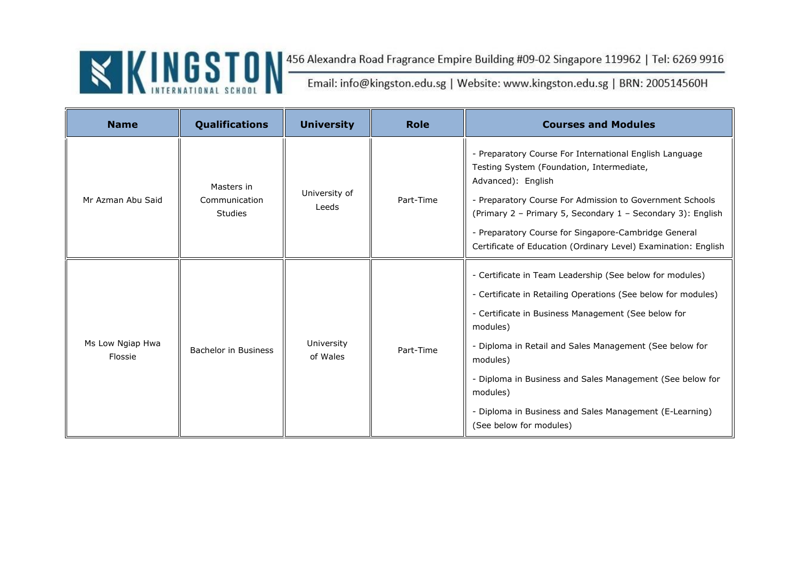| <b>Name</b>                 | Qualifications                                | <b>University</b>      | <b>Role</b> | <b>Courses and Modules</b>                                                                                                                                                                                                                                                                                                                                                                                                         |
|-----------------------------|-----------------------------------------------|------------------------|-------------|------------------------------------------------------------------------------------------------------------------------------------------------------------------------------------------------------------------------------------------------------------------------------------------------------------------------------------------------------------------------------------------------------------------------------------|
| Mr Azman Abu Said           | Masters in<br>Communication<br><b>Studies</b> | University of<br>Leeds | Part-Time   | - Preparatory Course For International English Language<br>Testing System (Foundation, Intermediate,<br>Advanced): English<br>- Preparatory Course For Admission to Government Schools<br>(Primary 2 - Primary 5, Secondary 1 - Secondary 3): English<br>- Preparatory Course for Singapore-Cambridge General<br>Certificate of Education (Ordinary Level) Examination: English                                                    |
| Ms Low Ngiap Hwa<br>Flossie | <b>Bachelor in Business</b>                   | University<br>of Wales | Part-Time   | - Certificate in Team Leadership (See below for modules)<br>- Certificate in Retailing Operations (See below for modules)<br>- Certificate in Business Management (See below for<br>modules)<br>- Diploma in Retail and Sales Management (See below for<br>modules)<br>- Diploma in Business and Sales Management (See below for<br>modules)<br>- Diploma in Business and Sales Management (E-Learning)<br>(See below for modules) |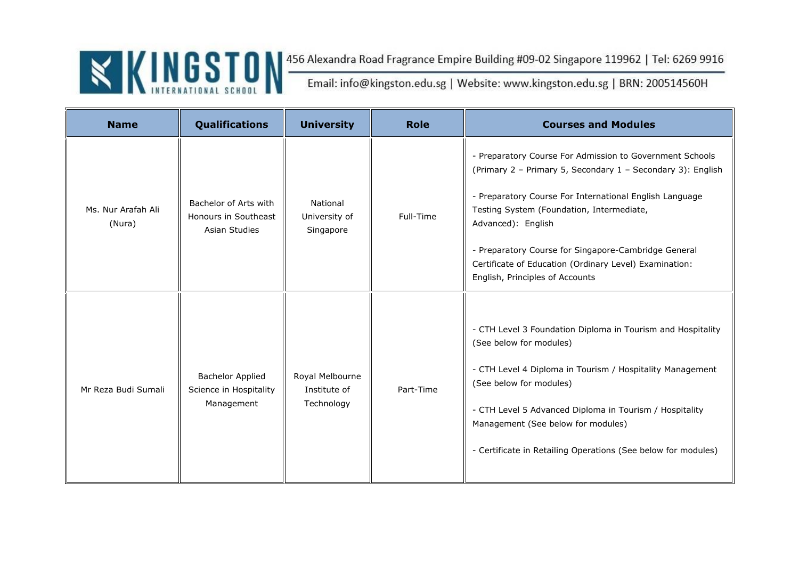| <b>Name</b>                  | <b>Qualifications</b>                                           | <b>University</b>                             | <b>Role</b> | <b>Courses and Modules</b>                                                                                                                                                                                                                                                                                                                                                                                 |
|------------------------------|-----------------------------------------------------------------|-----------------------------------------------|-------------|------------------------------------------------------------------------------------------------------------------------------------------------------------------------------------------------------------------------------------------------------------------------------------------------------------------------------------------------------------------------------------------------------------|
| Ms. Nur Arafah Ali<br>(Nura) | Bachelor of Arts with<br>Honours in Southeast<br>Asian Studies  | National<br>University of<br>Singapore        | Full-Time   | - Preparatory Course For Admission to Government Schools<br>(Primary 2 - Primary 5, Secondary 1 - Secondary 3): English<br>- Preparatory Course For International English Language<br>Testing System (Foundation, Intermediate,<br>Advanced): English<br>- Preparatory Course for Singapore-Cambridge General<br>Certificate of Education (Ordinary Level) Examination:<br>English, Principles of Accounts |
| Mr Reza Budi Sumali          | <b>Bachelor Applied</b><br>Science in Hospitality<br>Management | Royal Melbourne<br>Institute of<br>Technology | Part-Time   | - CTH Level 3 Foundation Diploma in Tourism and Hospitality<br>(See below for modules)<br>- CTH Level 4 Diploma in Tourism / Hospitality Management<br>(See below for modules)<br>- CTH Level 5 Advanced Diploma in Tourism / Hospitality<br>Management (See below for modules)<br>- Certificate in Retailing Operations (See below for modules)                                                           |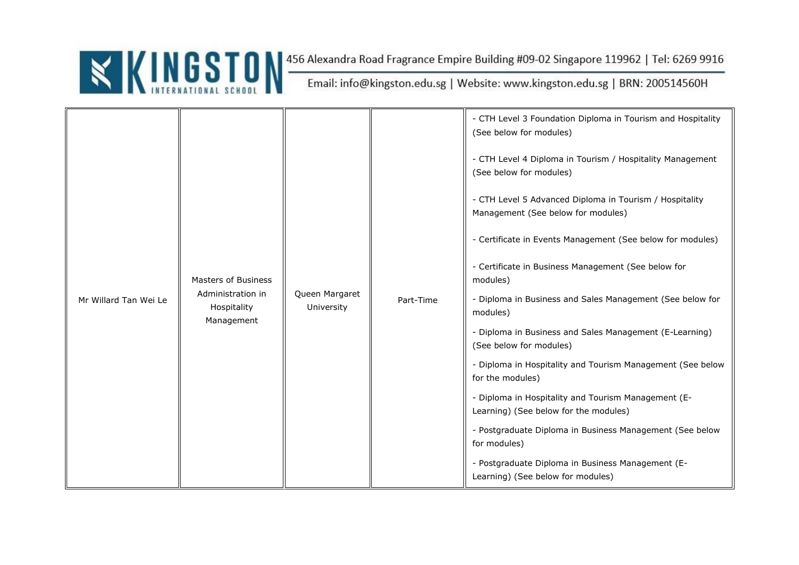

| Mr Willard Tan Wei Le | <b>Masters of Business</b><br>Administration in<br>Hospitality<br>Management | Queen Margaret<br>University |           | - CTH Level 3 Foundation Diploma in Tourism and Hospitality<br>(See below for modules)        |
|-----------------------|------------------------------------------------------------------------------|------------------------------|-----------|-----------------------------------------------------------------------------------------------|
|                       |                                                                              |                              |           | - CTH Level 4 Diploma in Tourism / Hospitality Management<br>(See below for modules)          |
|                       |                                                                              |                              |           | - CTH Level 5 Advanced Diploma in Tourism / Hospitality<br>Management (See below for modules) |
|                       |                                                                              |                              |           | - Certificate in Events Management (See below for modules)                                    |
|                       |                                                                              |                              | Part-Time | - Certificate in Business Management (See below for<br>modules)                               |
|                       |                                                                              |                              |           | - Diploma in Business and Sales Management (See below for<br>modules)                         |
|                       |                                                                              |                              |           | - Diploma in Business and Sales Management (E-Learning)<br>(See below for modules)            |
|                       |                                                                              |                              |           | - Diploma in Hospitality and Tourism Management (See below<br>for the modules)                |
|                       |                                                                              |                              |           | - Diploma in Hospitality and Tourism Management (E-<br>Learning) (See below for the modules)  |
|                       |                                                                              |                              |           | - Postgraduate Diploma in Business Management (See below<br>for modules)                      |
|                       |                                                                              |                              |           | - Postgraduate Diploma in Business Management (E-<br>Learning) (See below for modules)        |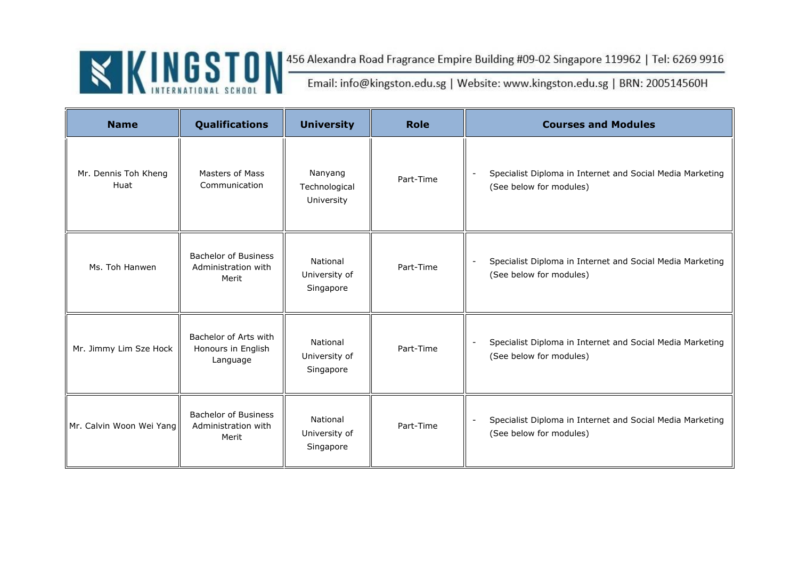| <b>Name</b>                  | Qualifications                                              | <b>University</b>                      | <b>Role</b> | <b>Courses and Modules</b>                                                                                       |
|------------------------------|-------------------------------------------------------------|----------------------------------------|-------------|------------------------------------------------------------------------------------------------------------------|
| Mr. Dennis Toh Kheng<br>Huat | Masters of Mass<br>Communication                            | Nanyang<br>Technological<br>University | Part-Time   | Specialist Diploma in Internet and Social Media Marketing<br>(See below for modules)                             |
| Ms. Toh Hanwen               | <b>Bachelor of Business</b><br>Administration with<br>Merit | National<br>University of<br>Singapore | Part-Time   | Specialist Diploma in Internet and Social Media Marketing<br>(See below for modules)                             |
| Mr. Jimmy Lim Sze Hock       | Bachelor of Arts with<br>Honours in English<br>Language     | National<br>University of<br>Singapore | Part-Time   | Specialist Diploma in Internet and Social Media Marketing<br>$\overline{\phantom{a}}$<br>(See below for modules) |
| Mr. Calvin Woon Wei Yang     | <b>Bachelor of Business</b><br>Administration with<br>Merit | National<br>University of<br>Singapore | Part-Time   | Specialist Diploma in Internet and Social Media Marketing<br>$\overline{\phantom{a}}$<br>(See below for modules) |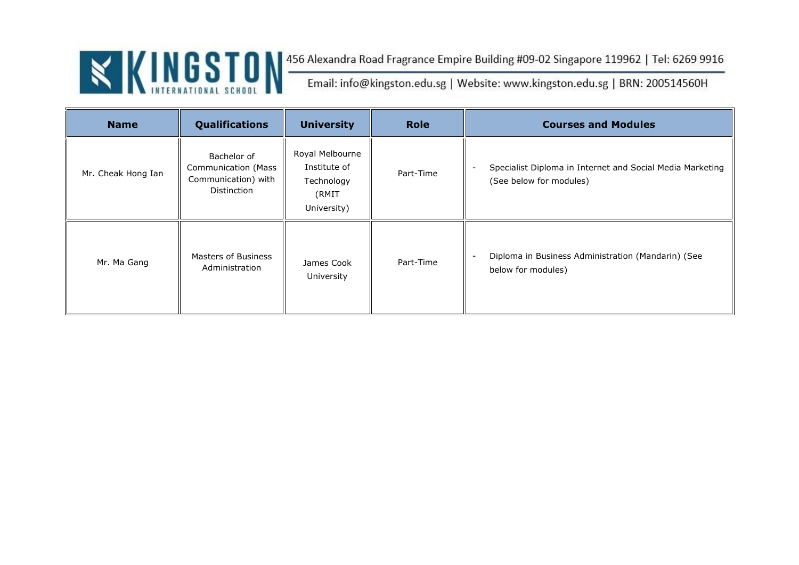| <b>Name</b>        | Qualifications                                                                         | <b>University</b>                                                     | <b>Role</b> | <b>Courses and Modules</b>                                                           |
|--------------------|----------------------------------------------------------------------------------------|-----------------------------------------------------------------------|-------------|--------------------------------------------------------------------------------------|
| Mr. Cheak Hong Ian | Bachelor of<br><b>Communication (Mass</b><br>Communication) with<br><b>Distinction</b> | Royal Melbourne<br>Institute of<br>Technology<br>(RMIT<br>University) | Part-Time   | Specialist Diploma in Internet and Social Media Marketing<br>(See below for modules) |
| Mr. Ma Gang        | Masters of Business<br>Administration                                                  | James Cook<br>University                                              | Part-Time   | Diploma in Business Administration (Mandarin) (See<br>below for modules)             |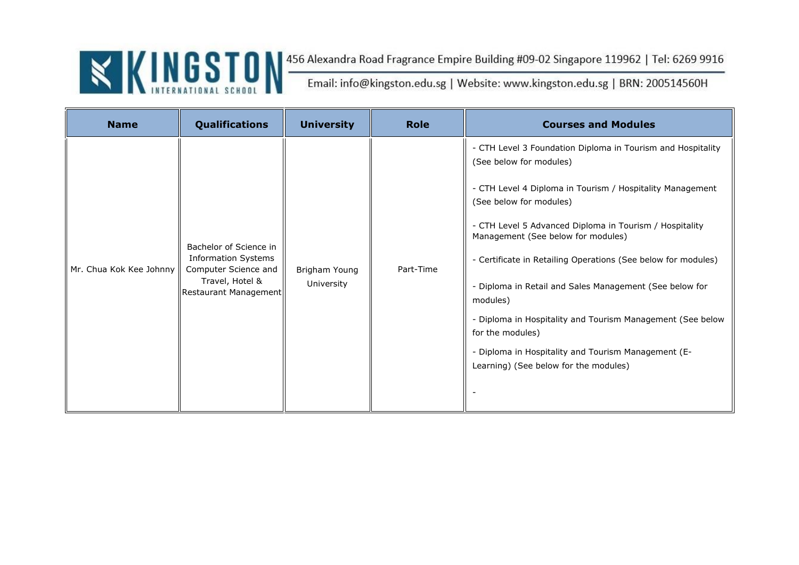| <b>Name</b>             | <b>Qualifications</b>                                                                                                    | <b>University</b>           | <b>Role</b> | <b>Courses and Modules</b>                                                                                                                                                                                                                                                                                                                                                                                                                                                                                                                                                                                |
|-------------------------|--------------------------------------------------------------------------------------------------------------------------|-----------------------------|-------------|-----------------------------------------------------------------------------------------------------------------------------------------------------------------------------------------------------------------------------------------------------------------------------------------------------------------------------------------------------------------------------------------------------------------------------------------------------------------------------------------------------------------------------------------------------------------------------------------------------------|
| Mr. Chua Kok Kee Johnny | Bachelor of Science in<br><b>Information Systems</b><br>Computer Science and<br>Travel, Hotel &<br>Restaurant Management | Brigham Young<br>University | Part-Time   | - CTH Level 3 Foundation Diploma in Tourism and Hospitality<br>(See below for modules)<br>- CTH Level 4 Diploma in Tourism / Hospitality Management<br>(See below for modules)<br>- CTH Level 5 Advanced Diploma in Tourism / Hospitality<br>Management (See below for modules)<br>- Certificate in Retailing Operations (See below for modules)<br>- Diploma in Retail and Sales Management (See below for<br>modules)<br>- Diploma in Hospitality and Tourism Management (See below<br>for the modules)<br>- Diploma in Hospitality and Tourism Management (E-<br>Learning) (See below for the modules) |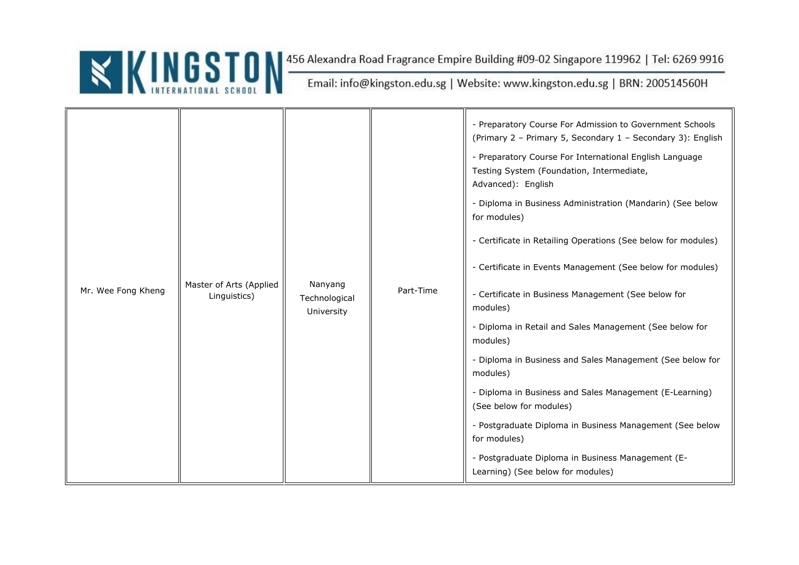| Mr. Wee Fong Kheng | Master of Arts (Applied<br>Linguistics) | Nanyang<br>Technological<br>University | Part-Time | - Preparatory Course For Admission to Government Schools<br>(Primary 2 - Primary 5, Secondary 1 - Secondary 3): English<br>- Preparatory Course For International English Language<br>Testing System (Foundation, Intermediate,<br>Advanced): English<br>- Diploma in Business Administration (Mandarin) (See below<br>for modules)<br>- Certificate in Retailing Operations (See below for modules)<br>- Certificate in Events Management (See below for modules)<br>- Certificate in Business Management (See below for<br>modules)<br>- Diploma in Retail and Sales Management (See below for<br>modules)<br>- Diploma in Business and Sales Management (See below for<br>modules)<br>- Diploma in Business and Sales Management (E-Learning)<br>(See below for modules)<br>- Postgraduate Diploma in Business Management (See below<br>for modules)<br>- Postgraduate Diploma in Business Management (E-<br>Learning) (See below for modules) |
|--------------------|-----------------------------------------|----------------------------------------|-----------|---------------------------------------------------------------------------------------------------------------------------------------------------------------------------------------------------------------------------------------------------------------------------------------------------------------------------------------------------------------------------------------------------------------------------------------------------------------------------------------------------------------------------------------------------------------------------------------------------------------------------------------------------------------------------------------------------------------------------------------------------------------------------------------------------------------------------------------------------------------------------------------------------------------------------------------------------|
|--------------------|-----------------------------------------|----------------------------------------|-----------|---------------------------------------------------------------------------------------------------------------------------------------------------------------------------------------------------------------------------------------------------------------------------------------------------------------------------------------------------------------------------------------------------------------------------------------------------------------------------------------------------------------------------------------------------------------------------------------------------------------------------------------------------------------------------------------------------------------------------------------------------------------------------------------------------------------------------------------------------------------------------------------------------------------------------------------------------|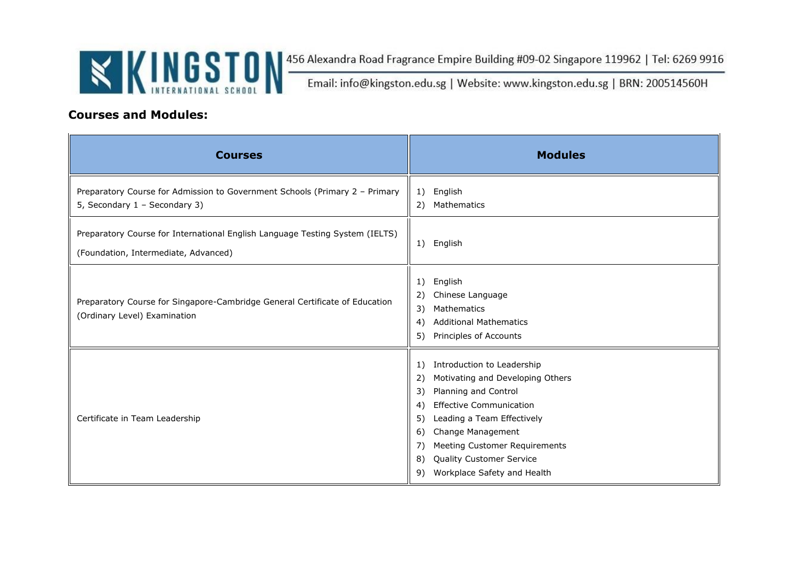

#### **Courses and Modules:**

| <b>Courses</b>                                                                                                       | <b>Modules</b>                                                                                                                                                                                                                                                                                                                              |
|----------------------------------------------------------------------------------------------------------------------|---------------------------------------------------------------------------------------------------------------------------------------------------------------------------------------------------------------------------------------------------------------------------------------------------------------------------------------------|
| Preparatory Course for Admission to Government Schools (Primary 2 - Primary<br>5, Secondary 1 - Secondary 3)         | English<br>1)<br>2) Mathematics                                                                                                                                                                                                                                                                                                             |
| Preparatory Course for International English Language Testing System (IELTS)<br>(Foundation, Intermediate, Advanced) | English<br>1)                                                                                                                                                                                                                                                                                                                               |
| Preparatory Course for Singapore-Cambridge General Certificate of Education<br>(Ordinary Level) Examination          | English<br>1)<br>2)<br>Chinese Language<br>3)<br>Mathematics<br><b>Additional Mathematics</b><br>4)<br>Principles of Accounts<br>5)                                                                                                                                                                                                         |
| Certificate in Team Leadership                                                                                       | Introduction to Leadership<br>1)<br>Motivating and Developing Others<br>2)<br>Planning and Control<br>3)<br><b>Effective Communication</b><br>4)<br>Leading a Team Effectively<br>5)<br>Change Management<br>6)<br>7)<br><b>Meeting Customer Requirements</b><br><b>Quality Customer Service</b><br>8)<br>Workplace Safety and Health<br>9) |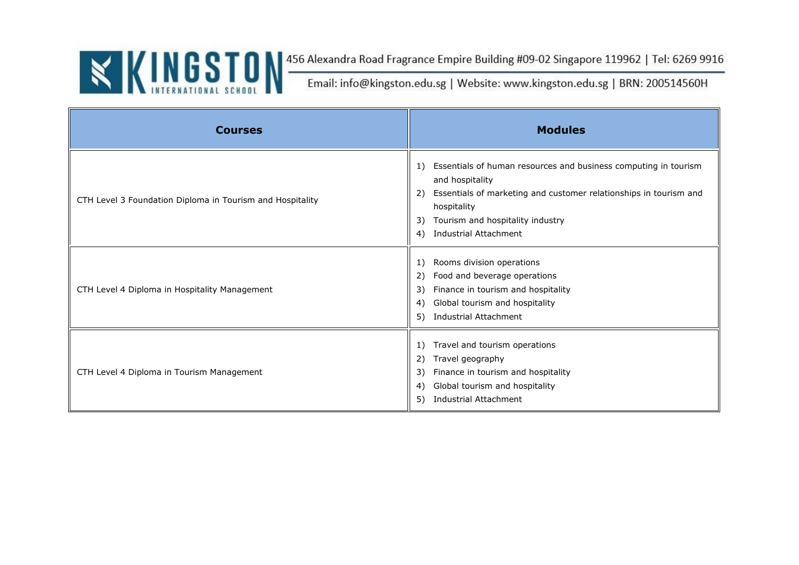| <b>Courses</b>                                            | <b>Modules</b>                                                                                                                                                                                                                                                     |
|-----------------------------------------------------------|--------------------------------------------------------------------------------------------------------------------------------------------------------------------------------------------------------------------------------------------------------------------|
| CTH Level 3 Foundation Diploma in Tourism and Hospitality | Essentials of human resources and business computing in tourism<br>1)<br>and hospitality<br>Essentials of marketing and customer relationships in tourism and<br>2)<br>hospitality<br>Tourism and hospitality industry<br>3)<br><b>Industrial Attachment</b><br>4) |
| CTH Level 4 Diploma in Hospitality Management             | Rooms division operations<br>1)<br>Food and beverage operations<br>2)<br>Finance in tourism and hospitality<br>3)<br>Global tourism and hospitality<br>4)<br>Industrial Attachment<br>5)                                                                           |
| CTH Level 4 Diploma in Tourism Management                 | Travel and tourism operations<br>1)<br>Travel geography<br>2)<br>Finance in tourism and hospitality<br>3)<br>Global tourism and hospitality<br>4)<br><b>Industrial Attachment</b><br>5)                                                                            |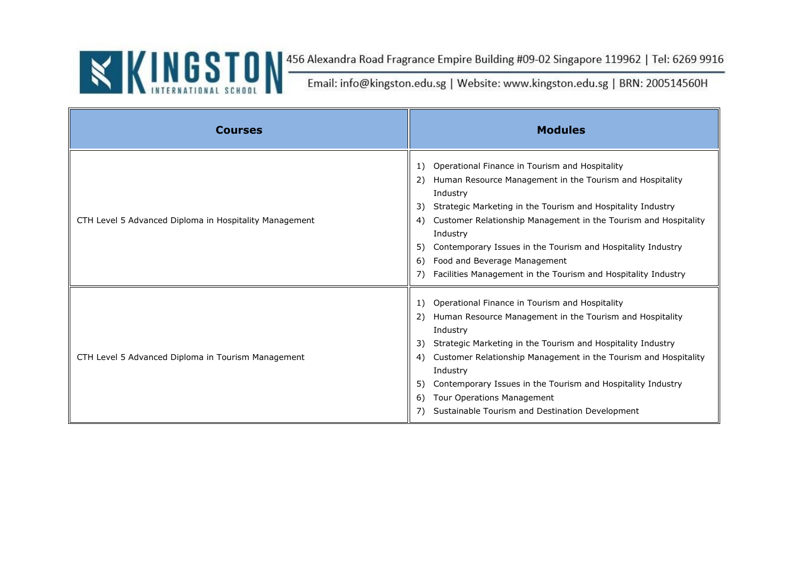| <b>Courses</b>                                         | <b>Modules</b>                                                                                                                                                                                                                                                                                                                                                                                                                                                                 |
|--------------------------------------------------------|--------------------------------------------------------------------------------------------------------------------------------------------------------------------------------------------------------------------------------------------------------------------------------------------------------------------------------------------------------------------------------------------------------------------------------------------------------------------------------|
| CTH Level 5 Advanced Diploma in Hospitality Management | Operational Finance in Tourism and Hospitality<br>1)<br>Human Resource Management in the Tourism and Hospitality<br>2)<br>Industry<br>Strategic Marketing in the Tourism and Hospitality Industry<br>3)<br>Customer Relationship Management in the Tourism and Hospitality<br>4)<br>Industry<br>Contemporary Issues in the Tourism and Hospitality Industry<br>5)<br>Food and Beverage Management<br>6)<br>Facilities Management in the Tourism and Hospitality Industry<br>7) |
| CTH Level 5 Advanced Diploma in Tourism Management     | Operational Finance in Tourism and Hospitality<br>1)<br>Human Resource Management in the Tourism and Hospitality<br>2)<br>Industry<br>Strategic Marketing in the Tourism and Hospitality Industry<br>3)<br>Customer Relationship Management in the Tourism and Hospitality<br>4)<br>Industry<br>Contemporary Issues in the Tourism and Hospitality Industry<br>5)<br>Tour Operations Management<br>6)<br>Sustainable Tourism and Destination Development<br>7)                 |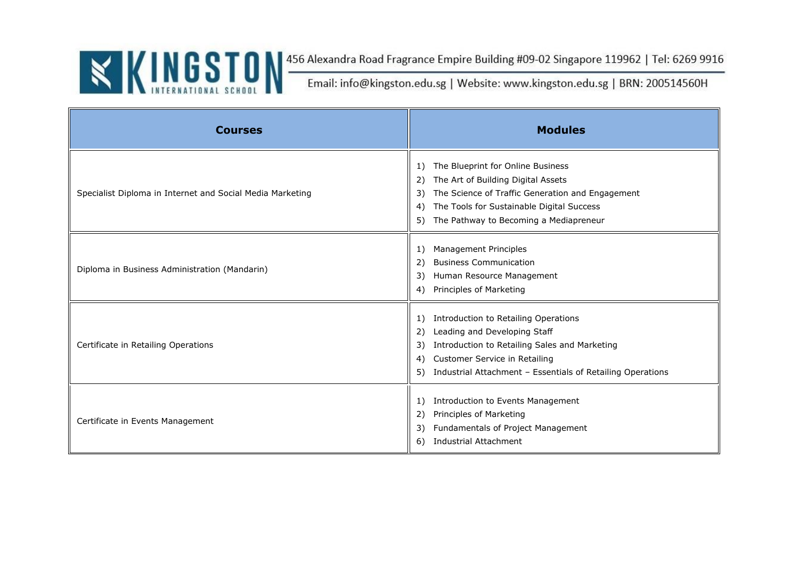| <b>Courses</b>                                            | <b>Modules</b>                                                                                                                                                                                                                                  |
|-----------------------------------------------------------|-------------------------------------------------------------------------------------------------------------------------------------------------------------------------------------------------------------------------------------------------|
| Specialist Diploma in Internet and Social Media Marketing | The Blueprint for Online Business<br>1)<br>The Art of Building Digital Assets<br>2)<br>The Science of Traffic Generation and Engagement<br>3)<br>The Tools for Sustainable Digital Success<br>4)<br>5) The Pathway to Becoming a Mediapreneur   |
| Diploma in Business Administration (Mandarin)             | Management Principles<br>1)<br><b>Business Communication</b><br>2)<br>Human Resource Management<br>3)<br>Principles of Marketing<br>4)                                                                                                          |
| Certificate in Retailing Operations                       | Introduction to Retailing Operations<br>1)<br>Leading and Developing Staff<br>2)<br>Introduction to Retailing Sales and Marketing<br>3)<br>Customer Service in Retailing<br>4)<br>5) Industrial Attachment - Essentials of Retailing Operations |
| Certificate in Events Management                          | Introduction to Events Management<br>1)<br>Principles of Marketing<br>2)<br>Fundamentals of Project Management<br>3)<br><b>Industrial Attachment</b><br>6)                                                                                      |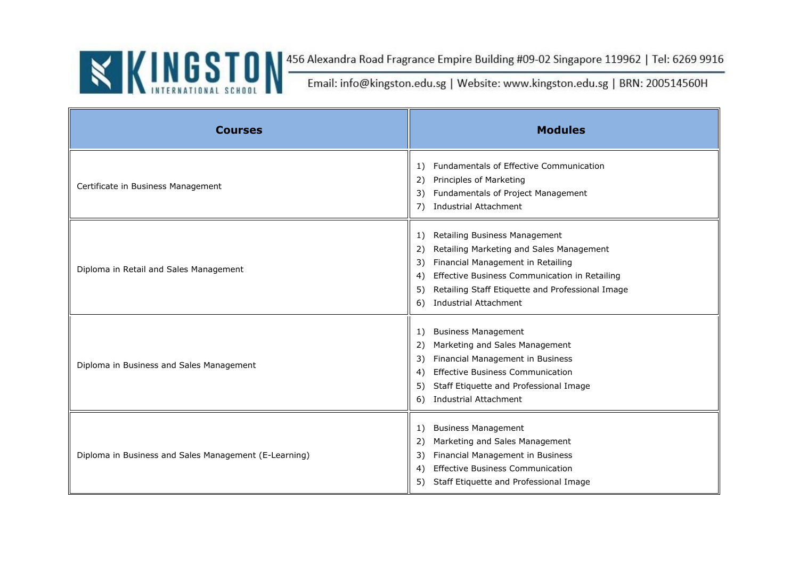

| <b>Courses</b>                                        | <b>Modules</b>                                                                                                                                                                                                                                                                          |
|-------------------------------------------------------|-----------------------------------------------------------------------------------------------------------------------------------------------------------------------------------------------------------------------------------------------------------------------------------------|
| Certificate in Business Management                    | <b>Fundamentals of Effective Communication</b><br>1)<br>Principles of Marketing<br>2)<br>Fundamentals of Project Management<br>3)<br>7) Industrial Attachment                                                                                                                           |
| Diploma in Retail and Sales Management                | Retailing Business Management<br>1)<br>Retailing Marketing and Sales Management<br>2)<br>Financial Management in Retailing<br>3)<br>Effective Business Communication in Retailing<br>4)<br>Retailing Staff Etiquette and Professional Image<br>5)<br><b>Industrial Attachment</b><br>6) |
| Diploma in Business and Sales Management              | <b>Business Management</b><br>1)<br>Marketing and Sales Management<br>2)<br>Financial Management in Business<br>3)<br><b>Effective Business Communication</b><br>4)<br>Staff Etiquette and Professional Image<br>5)<br><b>Industrial Attachment</b><br>6)                               |
| Diploma in Business and Sales Management (E-Learning) | <b>Business Management</b><br>1)<br>Marketing and Sales Management<br>2)<br>Financial Management in Business<br>3)<br><b>Effective Business Communication</b><br>4)<br>5) Staff Etiquette and Professional Image                                                                        |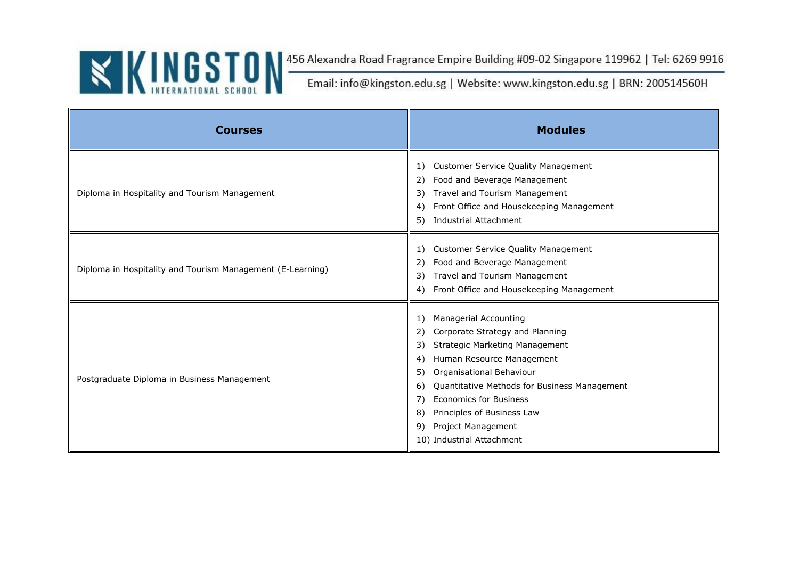| <b>Courses</b>                                             | <b>Modules</b>                                                                                                                                                                                                                                                                                                                                                                     |
|------------------------------------------------------------|------------------------------------------------------------------------------------------------------------------------------------------------------------------------------------------------------------------------------------------------------------------------------------------------------------------------------------------------------------------------------------|
| Diploma in Hospitality and Tourism Management              | <b>Customer Service Quality Management</b><br>1)<br>Food and Beverage Management<br>2)<br>Travel and Tourism Management<br>3)<br>Front Office and Housekeeping Management<br>4)<br><b>Industrial Attachment</b><br>5)                                                                                                                                                              |
| Diploma in Hospitality and Tourism Management (E-Learning) | <b>Customer Service Quality Management</b><br>1)<br>Food and Beverage Management<br>2)<br>Travel and Tourism Management<br>3)<br>Front Office and Housekeeping Management<br>4)                                                                                                                                                                                                    |
| Postgraduate Diploma in Business Management                | Managerial Accounting<br>1)<br>Corporate Strategy and Planning<br>2)<br><b>Strategic Marketing Management</b><br>3)<br>Human Resource Management<br>4)<br>Organisational Behaviour<br>5)<br>Quantitative Methods for Business Management<br>6)<br><b>Economics for Business</b><br>7)<br>8)<br>Principles of Business Law<br>Project Management<br>9)<br>10) Industrial Attachment |